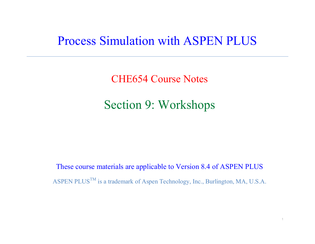## Process Simulation with ASPEN PLUS

CHE654 Course Notes

Section 9: Workshops

These course materials are applicable to Version 8.4 of ASPEN PLUS ASPEN PLUS<sup>TM</sup> is a trademark of Aspen Technology, Inc., Burlington, MA, U.S.A.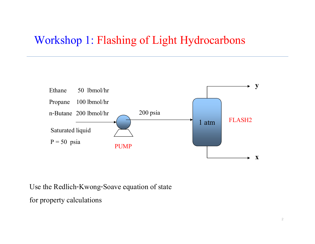## Workshop 1: Flashing of Light Hydrocarbons



Use the Redlich-Kwong-Soave equation of state

for property calculations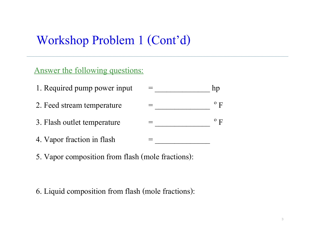# Workshop Problem 1 (Cont'd)

#### Answer the following questions:

| 1. Required pump power input |  |
|------------------------------|--|
| 2. Feed stream temperature   |  |
| 3. Flash outlet temperature  |  |

- 4. Vapor fraction in flash =
- 5. Vapor composition from flash (mole fractions):

6. Liquid composition from flash (mole fractions):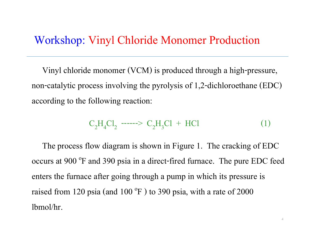## Workshop: Vinyl Chloride Monomer Production

 Vinyl chloride monomer (VCM) is produced through a high-pressure, non-catalytic process involving the pyrolysis of 1,2-dichloroethane (EDC) according to the following reaction:

C2H4Cl2------> C2H3Cl + HCl (1)

 The process flow diagram is shown in Figure 1. The cracking of EDC occurs at 900 <sup>o</sup>F and 390 psia in a direct-fired furnace. The pure EDC feed enters the furnace after going through a pump in which its pressure is raised from 120 psia (and 100  $^{\circ}$ F) to 390 psia, with a rate of 2000 lbmol/hr.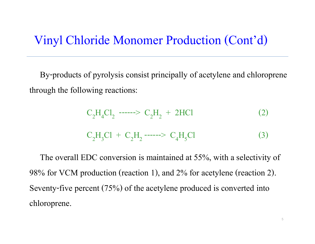# Vinyl Chloride Monomer Production (Cont'd)

 By-products of pyrolysis consist principally of acetylene and chloroprene through the following reactions:

$$
C_2H_4Cl_2 \n\begin{array}{rcl}\n- \cdots & \n\text{C}_2H_2 + 2HCl & (2) \\
\text{C}_2H_3Cl + C_2H_2 \n\begin{array}{rcl}\n- \cdots & \n\text{C}_4H_5Cl & (3)\n\end{array}\n\end{array}
$$

 The overall EDC conversion is maintained at 55%, with a selectivity of 98% for VCM production (reaction 1), and 2% for acetylene (reaction 2). Seventy-five percent (75%) of the acetylene produced is converted into chloroprene.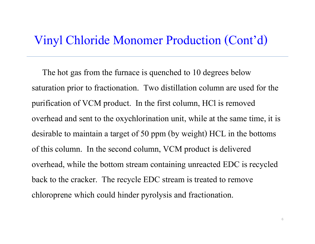## Vinyl Chloride Monomer Production (Cont'd)

 The hot gas from the furnace is quenched to 10 degrees below saturation prior to fractionation. Two distillation column are used for the purification of VCM product. In the first column, HCl is removed overhead and sent to the oxychlorination unit, while at the same time, it is desirable to maintain a target of 50 ppm (by weight) HCL in the bottoms of this column. In the second column, VCM product is delivered overhead, while the bottom stream containing unreacted EDC is recycled back to the cracker. The recycle EDC stream is treated to remove chloroprene which could hinder pyrolysis and fractionation.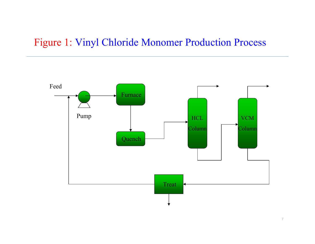## Figure 1: Vinyl Chloride Monomer Production Process

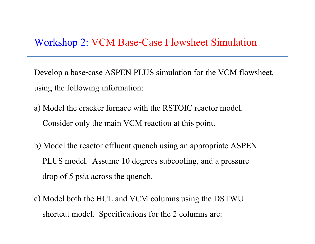#### Workshop 2: VCM Base-Case Flowsheet Simulation

Develop a base-case ASPEN PLUS simulation for the VCM flowsheet, using the following information:

- a) Model the cracker furnace with the RSTOIC reactor model. Consider only the main VCM reaction at this point.
- b) Model the reactor effluent quench using an appropriate ASPEN PLUS model. Assume 10 degrees subcooling, and a pressure drop of 5 psia across the quench.
- c) Model both the HCL and VCM columns using the DSTWU shortcut model. Specifications for the 2 columns are: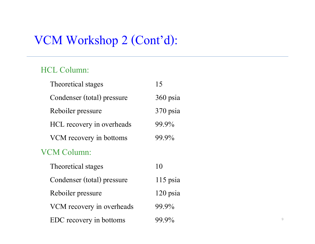#### HCL Column:

| Theoretical stages         | 15         |
|----------------------------|------------|
| Condenser (total) pressure | $360$ psia |
| Reboiler pressure          | 370 psia   |
| HCL recovery in overheads  | 99.9%      |
| VCM recovery in bottoms    | 99.9%      |
| VCM Column:                |            |
| Theoretical stages         | 10         |
| Condenser (total) pressure | $115$ psia |
| Reboiler pressure          | $120$ psia |
| VCM recovery in overheads  | 99.9%      |
| EDC recovery in bottoms    | 99.9%      |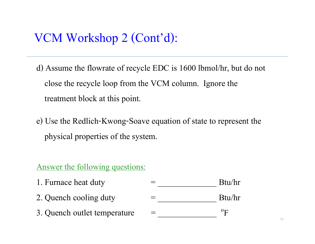- d) Assume the flowrate of recycle EDC is 1600 lbmol/hr, but do not close the recycle loop from the VCM column. Ignore the treatment block at this point.
- e) Use the Redlich-Kwong-Soave equation of state to represent the physical properties of the system.

#### Answer the following questions:

| 1. Furnace heat duty         | Btu/hr      |
|------------------------------|-------------|
| 2. Quench cooling duty       | Btu/hr      |
| 3. Quench outlet temperature | $\rm ^{o}F$ |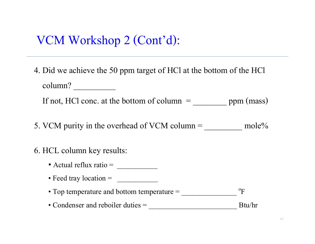4. Did we achieve the 50 ppm target of HCl at the bottom of the HCl column?

If not, HCl conc. at the bottom of column  $=$  \_\_\_\_\_\_\_\_\_\_\_\_\_\_\_ ppm (mass)

- 5. VCM purity in the overhead of VCM column  $=$  \_\_\_\_\_\_\_\_\_\_\_\_ mole%
- 6. HCL column key results:
	- Actual reflux ratio = \_\_\_\_\_\_\_\_\_\_\_
	- Feed tray location = \_\_\_\_\_\_\_\_\_\_\_
	- Top temperature and bottom temperature = \_\_\_\_\_\_\_\_\_\_\_\_\_\_\_  $^{\rm o}{\rm F}$
	- Condenser and reboiler duties = \_\_\_\_\_\_\_\_\_\_\_\_\_\_\_\_\_\_\_\_\_\_\_\_ Btu/hr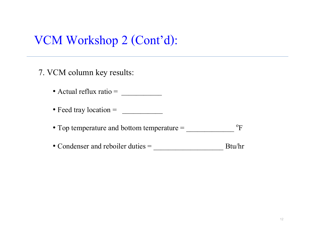7. VCM column key results:

- Actual reflux ratio = \_\_\_\_\_\_\_\_\_\_\_
- Feed tray location = \_\_\_\_\_\_\_\_\_\_\_
- Top temperature and bottom temperature = \_\_\_\_\_\_\_\_\_\_\_\_\_  $^{\rm o}{\rm F}$
- Condenser and reboiler duties = \_\_\_\_\_\_\_\_\_\_\_\_\_\_\_\_\_\_\_ Btu/hr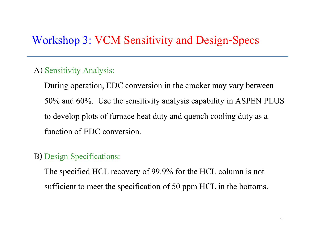## Workshop 3: VCM Sensitivity and Design-Specs

#### A) Sensitivity Analysis:

 During operation, EDC conversion in the cracker may vary between 50% and 60%. Use the sensitivity analysis capability in ASPEN PLUS to develop plots of furnace heat duty and quench cooling duty as <sup>a</sup> function of EDC conversion.

#### B) Design Specifications:

 The specified HCL recovery of 99.9% for the HCL column is not sufficient to meet the specification of 50 ppm HCL in the bottoms.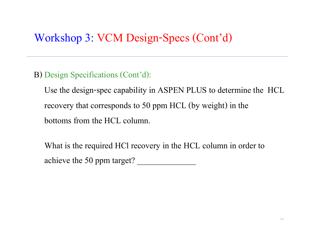# Workshop 3: VCM Design-Specs (Cont'd)

B) Design Specifications (Cont'd):

 Use the design-spec capability in ASPEN PLUS to determine the HCL recovery that corresponds to 50 ppm HCL (by weight) in the bottoms from the HCL column.

 What is the required HCl recovery in the HCL column in order to achieve the 50 ppm target? \_\_\_\_\_\_\_\_\_\_\_\_\_\_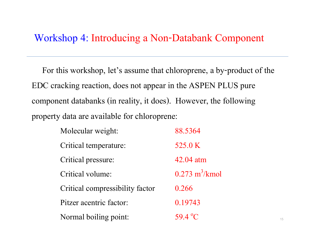### Workshop 4: Introducing a Non-Databank Component

 For this workshop, let's assume that chloroprene, a by-product of the EDC cracking reaction, does not appear in the ASPEN PLUS pure component databanks (in reality, it does). However, the following property data are available for chloroprene:

| Molecular weight:               | 88.5364                         |
|---------------------------------|---------------------------------|
| Critical temperature:           | 525.0 K                         |
| Critical pressure:              | 42.04 atm                       |
| Critical volume:                | $0.273 \text{ m}^3/\text{kmol}$ |
| Critical compressibility factor | 0.266                           |
| Pitzer acentric factor:         | 0.19743                         |
| Normal boiling point:           | 59.4 °C                         |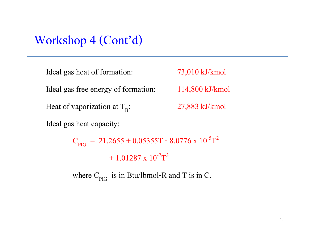| Ideal gas heat of formation:          | 73,010 kJ/kmol            |
|---------------------------------------|---------------------------|
| Ideal gas free energy of formation:   | $114,800 \text{ kJ/kmol}$ |
| Heat of vaporization at $T_{\rm R}$ : | 27,883 kJ/kmol            |
| Ideal gas heat capacity:              |                           |

 $\rm C_{\rm PIG}$  = 21.2655 + 0.05355T - 8.0776 x 10<sup>-5</sup>T 2  $+1.01287 \times 10^{-7}$ T<sup>3</sup>

where  $C_{PIG}$  is in Btu/lbmol-R and T is in C.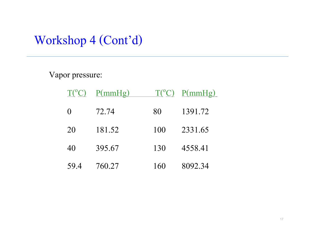#### Vapor pressure:

|                  | $T({}^{\circ}C)$ P(mmHg) |     | $T({}^{\circ}C)$ P(mmHg) |
|------------------|--------------------------|-----|--------------------------|
| $\left( \right)$ | 72.74                    | 80  | 1391.72                  |
| 20               | 181.52                   | 100 | 2331.65                  |
| 40               | 395.67                   | 130 | 4558.41                  |
| 59.4             | 760.27                   | 160 | 8092.34                  |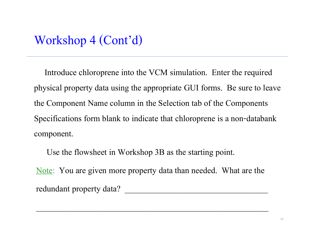Introduce chloroprene into the VCM simulation. Enter the required physical property data using the appropriate GUI forms. Be sure to leave the Component Name column in the Selection tab of the Components Specifications form blank to indicate that chloroprene is a non-databank component.

Use the flowsheet in Workshop 3B as the starting point.

Note: You are given more property data than needed. What are the redundant property data?

\_\_\_\_\_\_\_\_\_\_\_\_\_\_\_\_\_\_\_\_\_\_\_\_\_\_\_\_\_\_\_\_\_\_\_\_\_\_\_\_\_\_\_\_\_\_\_\_\_\_\_\_\_\_\_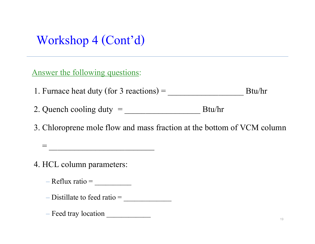Answer the following questions:

1. Furnace heat duty (for 3 reactions) =  $\frac{1}{\sqrt{2\pi}}$  Btu/hr

2. Quench cooling duty = \_\_\_\_\_\_\_\_\_\_\_\_\_\_\_\_\_\_ Btu/hr

3. Chloroprene mole flow and mass fraction at the bottom of VCM column

4. HCL column parameters:

 $-$  Reflux ratio =  $\_\_$ 

– Distillate to feed ratio = \_\_\_\_\_\_\_\_\_\_\_\_\_

= \_\_\_\_\_\_\_\_\_\_\_\_\_\_\_\_\_\_\_\_\_\_\_\_\_

– Feed tray location \_\_\_\_\_\_\_\_\_\_\_\_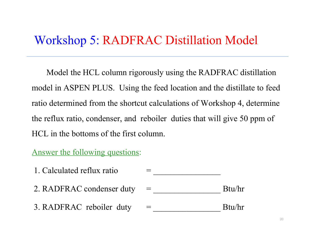# Workshop 5: RADFRAC Distillation Model

 Model the HCL column rigorously using the RADFRAC distillation model in ASPEN PLUS. Using the feed location and the distillate to feed ratio determined from the shortcut calculations of Workshop 4, determine the reflux ratio, condenser, and reboiler duties that will give 50 ppm of HCL in the bottoms of the first column.

#### Answer the following questions:

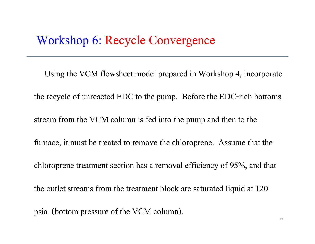# Workshop 6: Recycle Convergence

 Using the VCM flowsheet model prepared in Workshop 4, incorporate the recycle of unreacted EDC to the pump. Before the EDC-rich bottoms stream from the VCM column is fed into the pump and then to the furnace, it must be treated to remove the chloroprene. Assume that the chloroprene treatment section has a removal efficiency of 95%, and that the outlet streams from the treatment block are saturated liquid at 120 psia (bottom pressure of the VCM column).